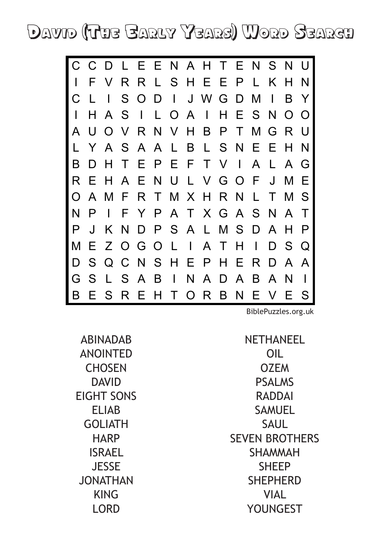David (The Early Years) Word Search



[BiblePuzzles.org.uk](http://biblepuzzles.org.uk/)

ABINADAB ANOINTED **CHOSEN** DAVID EIGHT SONS ELIAB GOLIATH **HARP** ISRAEL **JESSE** JONATHAN KING LORD

NETHANEEL OIL OZEM PSALMS RADDAI SAMUEL **SAUL** SEVEN BROTHERS SHAMMAH **SHEEP** SHEPHERD **VIAL** YOUNGEST